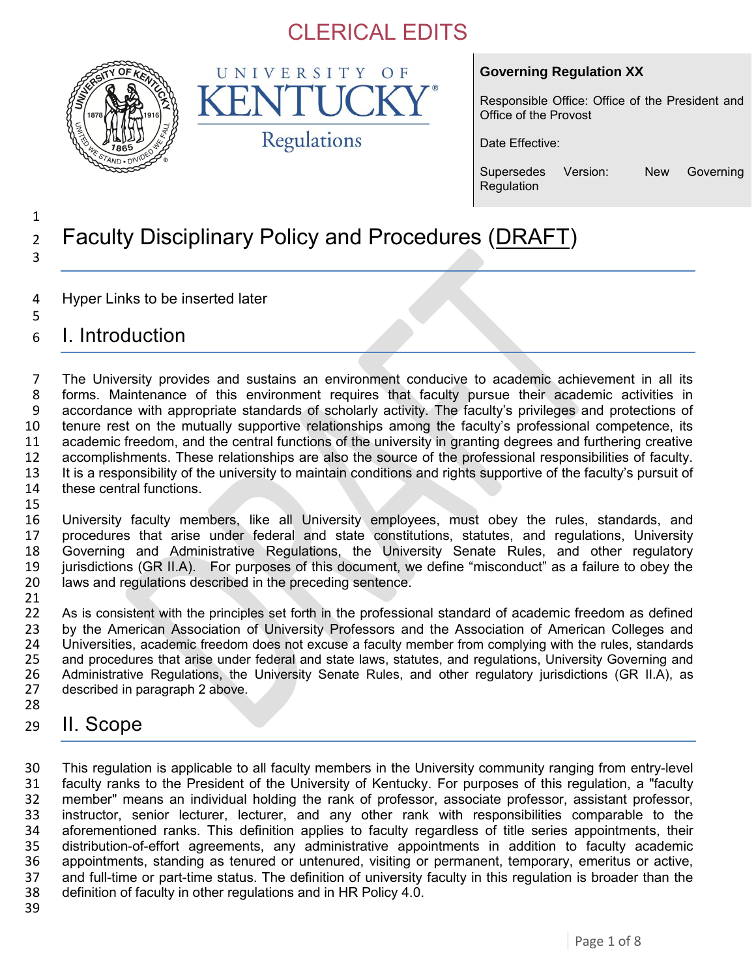

UNIVERSITY OF K Regulations

### **Governing Regulation XX**

Responsible Office: Office of the President and Office of the Provost

Date Effective:

Supersedes Version: New Governing Regulation

### <sup>2</sup> Faculty Disciplinary Policy and Procedures (DRAFT) 3

- 4 Hyper Links to be inserted later
- 6 I. Introduction

1

5

 The University provides and sustains an environment conducive to academic achievement in all its forms. Maintenance of this environment requires that faculty pursue their academic activities in accordance with appropriate standards of scholarly activity. The faculty's privileges and protections of tenure rest on the mutually supportive relationships among the faculty's professional competence, its academic freedom, and the central functions of the university in granting degrees and furthering creative accomplishments. These relationships are also the source of the professional responsibilities of faculty. 13 It is a responsibility of the university to maintain conditions and rights supportive of the faculty's pursuit of these central functions. 15

 University faculty members, like all University employees, must obey the rules, standards, and procedures that arise under federal and state constitutions, statutes, and regulations, University Governing and Administrative Regulations, the University Senate Rules, and other regulatory jurisdictions (GR II.A). For purposes of this document, we define "misconduct" as a failure to obey the laws and regulations described in the preceding sentence.

21<br>22 As is consistent with the principles set forth in the professional standard of academic freedom as defined 23 by the American Association of University Professors and the Association of American Colleges and<br>24 Universities, academic freedom does not excuse a faculty member from complying with the rules, standards 24 Universities, academic freedom does not excuse a faculty member from complying with the rules, standards<br>25 and procedures that arise under federal and state laws, statutes, and regulations, University Governing and 25 and procedures that arise under federal and state laws, statutes, and regulations, University Governing and<br>26 Administrative Regulations, the University Senate Rules, and other regulatory jurisdictions (GR II.A), as 26 Administrative Regulations, the University Senate Rules, and other regulatory jurisdictions (GR II.A), as 27 described in paragraph 2 above. described in paragraph 2 above. 28

29 II. Scope

 This regulation is applicable to all faculty members in the University community ranging from entry-level faculty ranks to the President of the University of Kentucky. For purposes of this regulation, a "faculty member" means an individual holding the rank of professor, associate professor, assistant professor, instructor, senior lecturer, lecturer, and any other rank with responsibilities comparable to the aforementioned ranks. This definition applies to faculty regardless of title series appointments, their distribution-of-effort agreements, any administrative appointments in addition to faculty academic 36 appointments, standing as tenured or untenured, visiting or permanent, temporary, emeritus or active, 37 and full-time or part-time status. The definition of university faculty in this regulation is broader than the and full-time or part-time status. The definition of university faculty in this regulation is broader than the definition of faculty in other regulations and in HR Policy 4.0.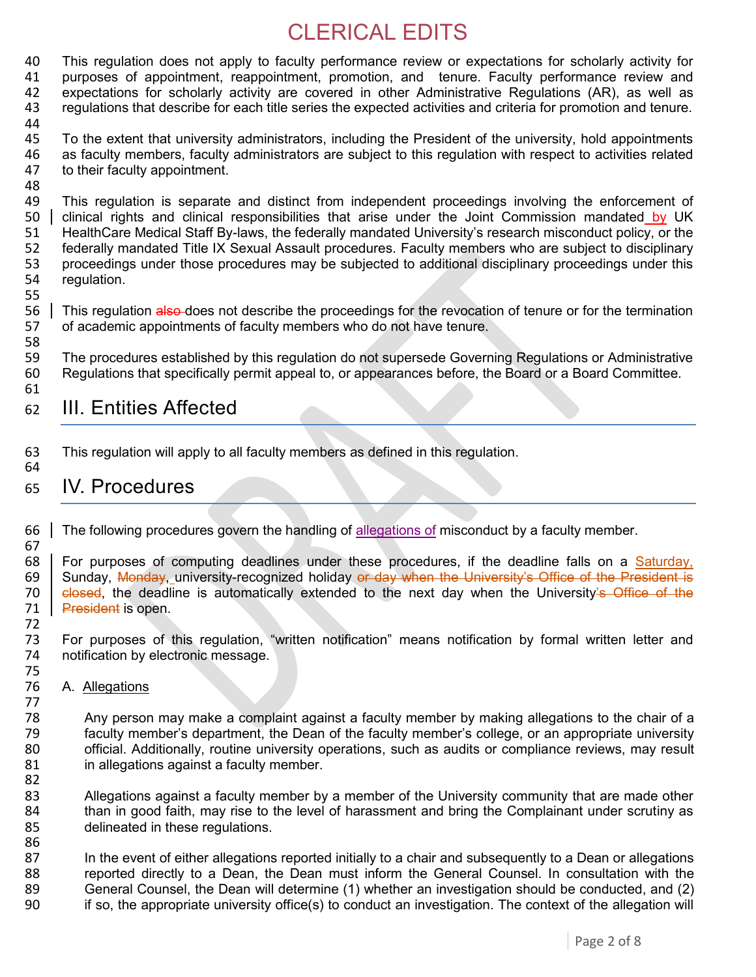40 This regulation does not apply to faculty performance review or expectations for scholarly activity for 41 purposes of appointment, reappointment, promotion, and tenure, Faculty performance review and purposes of appointment, reappointment, promotion, and tenure. Faculty performance review and 42 expectations for scholarly activity are covered in other Administrative Regulations (AR), as well as 43 regulations that describe for each title series the expected activities and criteria for promotion and tenure.

44

45 To the extent that university administrators, including the President of the university, hold appointments 46 as faculty members, faculty administrators are subject to this regulation with respect to activities related 47 to their faculty appointment. to their faculty appointment.

- 48<br>49 49 This regulation is separate and distinct from independent proceedings involving the enforcement of  $100 \text{ N}$  UK clinical rights and clinical responsibilities that arise under the Joint Commission mandated by UK 51 HealthCare Medical Staff By-laws, the federally mandated University's research misconduct policy, or the 52 federally mandated Title IX Sexual Assault procedures. Faculty members who are subject to disciplinary<br>53 proceedings under those procedures may be subjected to additional disciplinary proceedings under this 53 proceedings under those procedures may be subjected to additional disciplinary proceedings under this 54 requilation. regulation.
- 55

58

72

77

86

56 This regulation also does not describe the proceedings for the revocation of tenure or for the termination 57 of academic appointments of faculty members who do not have tenure. of academic appointments of faculty members who do not have tenure.

59 The procedures established by this regulation do not supersede Governing Regulations or Administrative 60 Regulations that specifically permit appeal to, or appearances before, the Board or a Board Committee. 61

### 62 III. Entities Affected

63 This regulation will apply to all faculty members as defined in this regulation. 64

### 65 IV. Procedures

66 The following procedures govern the handling of allegations of misconduct by a faculty member. 67

68 | For purposes of computing deadlines under these procedures, if the deadline falls on a **Saturday,** 69 | Sunday, Monday, university-recognized holiday or day when the University's Office of the President is Sunday, Monday, university-recognized holiday or day when the University's Office of the President is 70 closed, the deadline is automatically extended to the next day when the University's Office of the 71 **President** is open.

73 For purposes of this regulation, "written notification" means notification by formal written letter and 74 notification by electronic message.

- 75 A. Allegations
- 78 Any person may make a complaint against a faculty member by making allegations to the chair of a 79 faculty member's department, the Dean of the faculty member's college, or an appropriate university 80 official. Additionally, routine university operations, such as audits or compliance reviews, may result 81 in allegations against a faculty member.
- 82<br>83 Allegations against a faculty member by a member of the University community that are made other 84 than in good faith, may rise to the level of harassment and bring the Complainant under scrutiny as delineated in these requlations. delineated in these regulations.
- 87 In the event of either allegations reported initially to a chair and subsequently to a Dean or allegations 88 reported directly to a Dean, the Dean must inform the General Counsel. In consultation with the<br>89 General Counsel, the Dean will determine (1) whether an investigation should be conducted, and (2) 89 General Counsel, the Dean will determine (1) whether an investigation should be conducted, and (2)<br>90 fiso, the appropriate university office(s) to conduct an investigation. The context of the allegation will 90 if so, the appropriate university office(s) to conduct an investigation. The context of the allegation will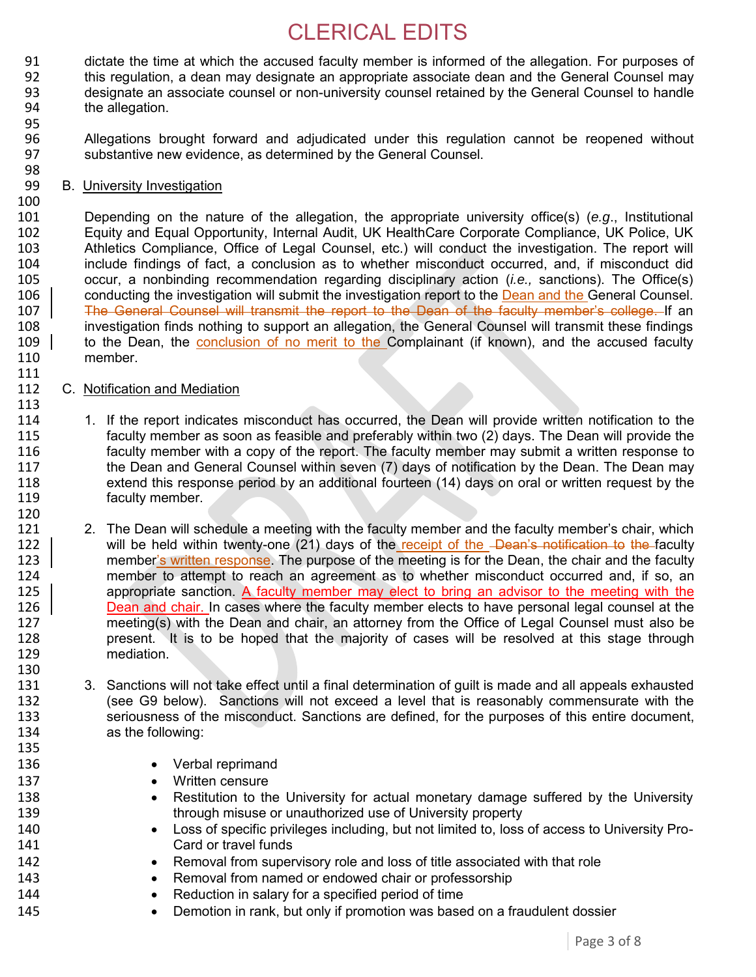- 91 dictate the time at which the accused faculty member is informed of the allegation. For purposes of 92 this requilation, a dean may designate an appropriate associate dean and the General Counsel may 92 this regulation, a dean may designate an appropriate associate dean and the General Counsel may 93 designate an associate counsel or non-university counsel retained by the General Counsel to handle 94 the allegation.
- 96 Allegations brought forward and adjudicated under this regulation cannot be reopened without 97 substantive new evidence, as determined by the General Counsel.
- 98 B. University Investigation
- 100<br>101

111

95

101 Depending on the nature of the allegation, the appropriate university office(s) (*e.g*., Institutional 102 Equity and Equal Opportunity, Internal Audit, UK HealthCare Corporate Compliance, UK Police, UK 103 Athletics Compliance, Office of Legal Counsel, etc.) will conduct the investigation. The report will<br>104 include findings of fact, a conclusion as to whether misconduct occurred, and, if misconduct did 104 include findings of fact, a conclusion as to whether misconduct occurred, and, if misconduct did<br>105 occur, a nonbinding recommendation regarding disciplinary action (*i.e.*, sanctions). The Office(s) 105 occur, a nonbinding recommendation regarding disciplinary action (*i.e.,* sanctions). The Office(s) 106 conducting the investigation will submit the investigation report to the Dean and the General Counsel. 107 | The General Counsel will transmit the report to the Dean of the faculty member's college. If an<br>108 | investigation finds nothing to support an allegation, the General Counsel will transmit these findings investigation finds nothing to support an allegation, the General Counsel will transmit these findings 109 to the Dean, the conclusion of no merit to the Complainant (if known), and the accused faculty 110 member.

### 112 C. Notification and Mediation

- 113<br>114 114 1. If the report indicates misconduct has occurred, the Dean will provide written notification to the<br>115 faculty member as soon as feasible and preferably within two (2) days. The Dean will provide the faculty member as soon as feasible and preferably within two (2) days. The Dean will provide the 116 faculty member with a copy of the report. The faculty member may submit a written response to 117 the Dean and General Counsel within seven (7) days of notification by the Dean. The Dean may 118 extend this response period by an additional fourteen (14) days on oral or written request by the 119 faculty member. 120<br>121
- 121 2. The Dean will schedule a meeting with the faculty member and the faculty member's chair, which<br>122 | will be held within twenty-one (21) days of the receipt of the -Dean's notification to the faculty will be held within twenty-one (21) days of the receipt of the -Dean's notification to the faculty 123 member's written response. The purpose of the meeting is for the Dean, the chair and the faculty 124 member to attempt to reach an agreement as to whether misconduct occurred and, if so, an 125 appropriate sanction. A faculty member may elect to bring an advisor to the meeting with the 126 Dean and chair. In cases where the faculty member elects to have personal legal counsel at the 127 meeting(s) with the Dean and chair, an attorney from the Office of Legal Counsel must also be 128 present. It is to be hoped that the majority of cases will be resolved at this stage through 129 mediation.
- 130<br>131 3. Sanctions will not take effect until a final determination of guilt is made and all appeals exhausted 132 (see G9 below). Sanctions will not exceed a level that is reasonably commensurate with the 133 seriousness of the misconduct. Sanctions are defined, for the purposes of this entire document, 134 as the following: 135
- 136 **•** Verbal reprimand
- 137 **Written censure**
- 138 **•** Restitution to the University for actual monetary damage suffered by the University 139 through misuse or unauthorized use of University property
- 140 Loss of specific privileges including, but not limited to, loss of access to University Pro-141 Card or travel funds
- 142 **•** Removal from supervisory role and loss of title associated with that role
- 143 **•** Removal from named or endowed chair or professorship
- 144 **BEAT CONCOCO EXAMPLE 144 Reduction in salary for a specified period of time**
- 145 **•** Demotion in rank, but only if promotion was based on a fraudulent dossier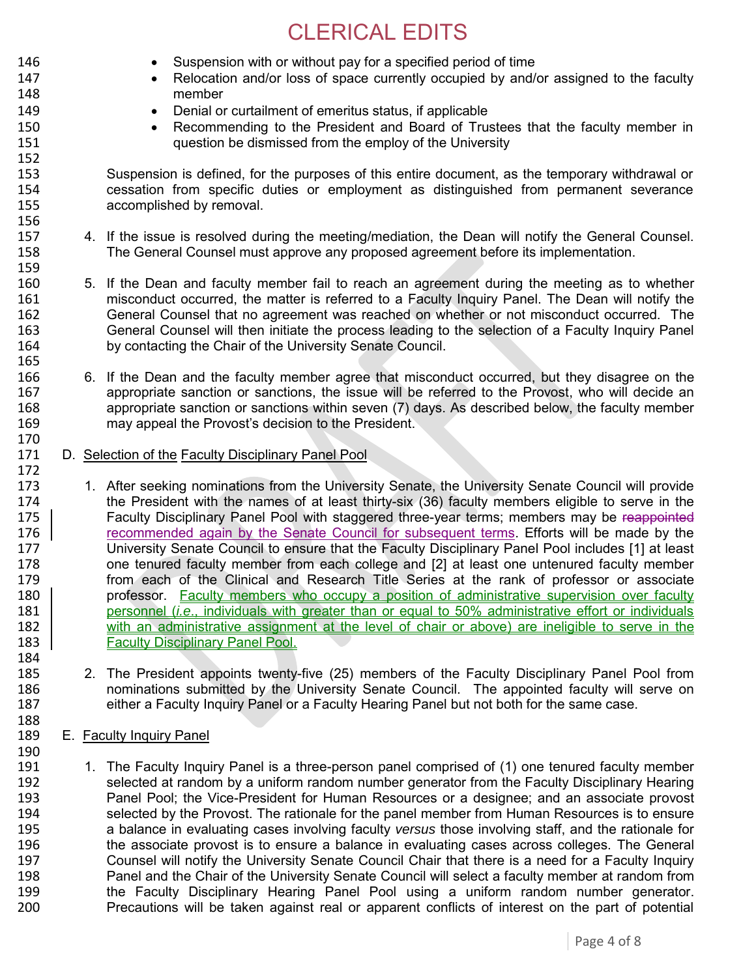- 146 Suspension with or without pay for a specified period of time 147 **•** Relocation and/or loss of space currently occupied by and/or assigned to the faculty member member 149 **Denial or curtailment of emeritus status, if applicable** 150 **Recommending to the President and Board of Trustees that the faculty member in**<br>151 **ILCO** question be dismissed from the employ of the University question be dismissed from the employ of the University 152 153 Suspension is defined, for the purposes of this entire document, as the temporary withdrawal or<br>154 cessation from specific duties or employment as distinguished from permanent severance 154 cessation from specific duties or employment as distinguished from permanent severance accomplished by removal. 156 157 4. If the issue is resolved during the meeting/mediation, the Dean will notify the General Counsel. 158 The General Counsel must approve any proposed agreement before its implementation. 159 160 5. If the Dean and faculty member fail to reach an agreement during the meeting as to whether<br>161 **161** misconduct occurred, the matter is referred to a Faculty Inquiry Panel. The Dean will notify the 161 misconduct occurred, the matter is referred to a Faculty Inquiry Panel. The Dean will notify the<br>162 General Counsel that no agreement was reached on whether or not misconduct occurred. The 162 General Counsel that no agreement was reached on whether or not misconduct occurred. The 163 General Counsel will then initiate the process leading to the selection of a Faculty Inquiry Panel 164 by contacting the Chair of the University Senate Council. 165 166 6. If the Dean and the faculty member agree that misconduct occurred, but they disagree on the 167 appropriate sanction or sanctions, the issue will be referred to the Provost, who will decide an 168 appropriate sanction or sanctions within seven (7) days. As described below, the faculty member appropriate sanction or sanctions within seven (7) days. As described below, the faculty member 169 may appeal the Provost's decision to the President. 170<br>171 D. Selection of the Faculty Disciplinary Panel Pool 172 173 1. After seeking nominations from the University Senate, the University Senate Council will provide<br>174 the President with the names of at least thirty-six (36) faculty members eligible to serve in the the President with the names of at least thirty-six (36) faculty members eligible to serve in the 175 **Faculty Disciplinary Panel Pool with staggered three-year terms**; members may be reappointed 176 commended again by the Senate Council for subsequent terms. Efforts will be made by the 176 The Commended again by the Senate Council for subsequent terms. Efforts will be made by the 177 University Senate Council to ensure that the Faculty Disciplinary Panel Pool includes [1] at least 177 University Senate Council to ensure that the Faculty Disciplinary Panel Pool includes [1] at least 178 one tenured faculty member from each college and [2] at least one untenured faculty member 179 from each of the Clinical and Research Title Series at the rank of professor or associate 180 **professor.** Faculty members who occupy a position of administrative supervision over faculty 181 **personnel (***i.e.***, individuals with greater than or equal to 50% administrative effort or individuals** 182 with an administrative assignment at the level of chair or above) are ineligible to serve in the 183 **Faculty Disciplinary Panel Pool.** 184<br>185 185 2. The President appoints twenty-five (25) members of the Faculty Disciplinary Panel Pool from<br>186 186 1860 nominations submitted by the University Senate Council. The appointed faculty will serve on nominations submitted by the University Senate Council. The appointed faculty will serve on 187 either a Faculty Inquiry Panel or a Faculty Hearing Panel but not both for the same case. 188 189 E. Faculty Inquiry Panel 190<br>191 191 1. The Faculty Inquiry Panel is a three-person panel comprised of (1) one tenured faculty member<br>192 selected at random by a uniform random number generator from the Faculty Disciplinary Hearing selected at random by a uniform random number generator from the Faculty Disciplinary Hearing
- 193 Panel Pool; the Vice-President for Human Resources or a designee; and an associate provost 194 selected by the Provost. The rationale for the panel member from Human Resources is to ensure 195 a balance in evaluating cases involving faculty *versus* those involving staff, and the rationale for 196 the associate provost is to ensure a balance in evaluating cases across colleges. The General 197 Counsel will notify the University Senate Council Chair that there is a need for a Faculty Inquiry 198 Panel and the Chair of the University Senate Council will select a faculty member at random from<br>199 the Faculty Disciplinary Hearing Panel Pool using a uniform random number generator. the Faculty Disciplinary Hearing Panel Pool using a uniform random number generator. 200 Precautions will be taken against real or apparent conflicts of interest on the part of potential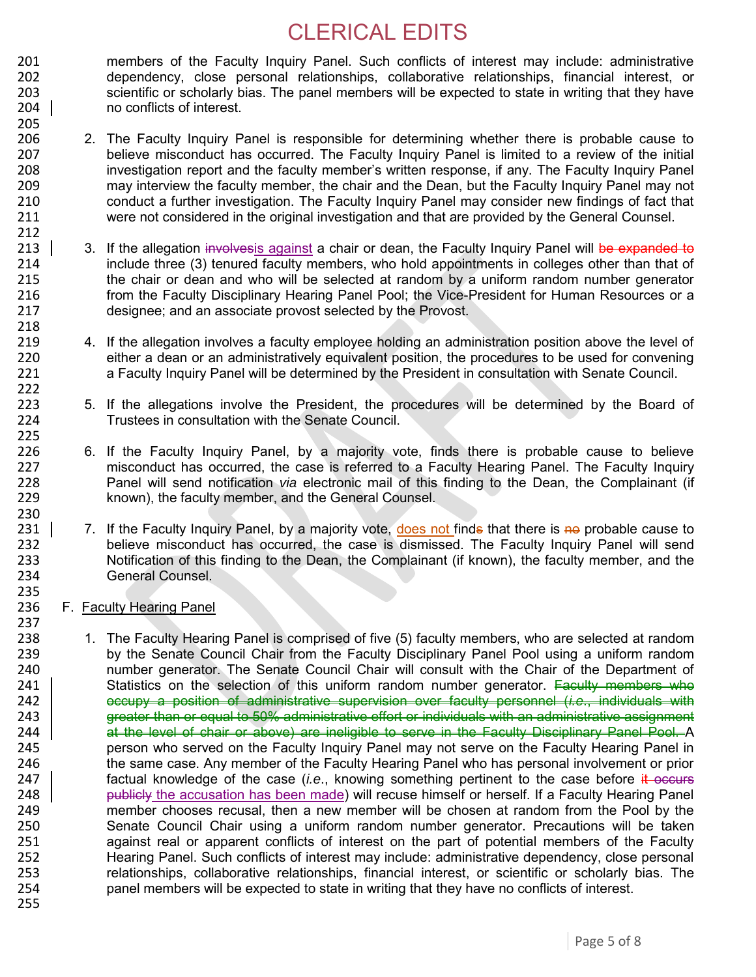201 members of the Faculty Inquiry Panel. Such conflicts of interest may include: administrative<br>202 dependency, close personal relationships, collaborative relationships, financial interest, or dependency, close personal relationships, collaborative relationships, financial interest, or scientific or scholarly bias. The panel members will be expected to state in writing that they have no conflicts of interest.

- 206 2. The Faculty Inquiry Panel is responsible for determining whether there is probable cause to 207 believe misconduct has occurred. The Faculty Inquiry Panel is limited to a review of the initial 208 investigation report and the faculty member's written response, if any. The Faculty Inquiry Panel investigation report and the faculty member's written response, if any. The Faculty Inquiry Panel 209 may interview the faculty member, the chair and the Dean, but the Faculty Inquiry Panel may not 210 conduct a further investigation. The Faculty Inquiry Panel may consider new findings of fact that<br>211 vere not considered in the original investigation and that are provided by the General Counsel. were not considered in the original investigation and that are provided by the General Counsel.
- 213 3. If the allegation involvesis against a chair or dean, the Faculty Inquiry Panel will be expanded to 214 include three (3) tenured faculty members, who hold appointments in colleges other than that of<br>215 the chair or dean and who will be selected at random by a uniform random number generator 215 the chair or dean and who will be selected at random by a uniform random number generator 216 from the Faculty Disciplinary Hearing Panel Pool; the Vice-President for Human Resources or a 217 designee; and an associate provost selected by the Provost. 218
- 219 4. If the allegation involves a faculty employee holding an administration position above the level of 220 either a dean or an administratively equivalent position, the procedures to be used for convening 221 a Faculty Inquiry Panel will be determined by the President in consultation with Senate Council.
- 223 5. If the allegations involve the President, the procedures will be determined by the Board of 224 Trustees in consultation with the Senate Council. Trustees in consultation with the Senate Council.
- 226 6. If the Faculty Inquiry Panel, by a majority vote, finds there is probable cause to believe 227 misconduct has occurred, the case is referred to a Faculty Hearing Panel. The Faculty Inquiry 228 Panel will send notification *via* electronic mail of this finding to the Dean, the Complainant (if known), the faculty member, and the General Counsel.
- 231 | 7. If the Faculty Inquiry Panel, by a majority vote, does not finds that there is no probable cause to<br>232 believe misconduct has occurred, the case is dismissed. The Faculty Inquiry Panel will send believe misconduct has occurred, the case is dismissed. The Faculty Inquiry Panel will send 233 Notification of this finding to the Dean, the Complainant (if known), the faculty member, and the 234 General Counsel.

#### 236 F. Faculty Hearing Panel

205

212

222

225<br>226

230<br>231 |

235

237<br>238 238 1. The Faculty Hearing Panel is comprised of five (5) faculty members, who are selected at random<br>239 by the Senate Council Chair from the Faculty Disciplinary Panel Pool using a uniform random 239 by the Senate Council Chair from the Faculty Disciplinary Panel Pool using a uniform random<br>240 humber generator. The Senate Council Chair will consult with the Chair of the Department of 240 number generator. The Senate Council Chair will consult with the Chair of the Department of 241 | Statistics on the selection of this uniform random number generator. Faculty members whe Statistics on the selection of this uniform random number generator. Faculty members who 242 occupy a position of administrative supervision over faculty personnel (*i.e*., individuals with 243 **greater than or equal to 50% administrative effort or individuals with an administrative assignment** 244 | at the level of chair or above) are ineligible to serve in the Faculty Disciplinary Panel Pool. A<br>245 https://www.person who served on the Faculty Inguiry Panel may not serve on the Faculty Hearing Panel in 245 person who served on the Faculty Inquiry Panel may not serve on the Faculty Hearing Panel in 246 the same case. Any member of the Faculty Hearing Panel who has personal involvement or prior 247 **factual knowledge of the case (***i.e.***, knowing something pertinent to the case before it occurs** 248 **publicly** the accusation has been made) will recuse himself or herself. If a Faculty Hearing Panel 249 member chooses recusal, then a new member will be chosen at random from the Pool by the 250 Senate Council Chair using a uniform random number generator. Precautions will be taken 251 against real or apparent conflicts of interest on the part of potential members of the Faculty 252 Hearing Panel. Such conflicts of interest may include: administrative dependency, close personal<br>253 http://elationships.collaborative relationships. financial interest, or scientific or scholarly bias. The 253 relationships, collaborative relationships, financial interest, or scientific or scholarly bias. The 254 repression panel members will be expected to state in writing that they have no conflicts of interest. panel members will be expected to state in writing that they have no conflicts of interest. 255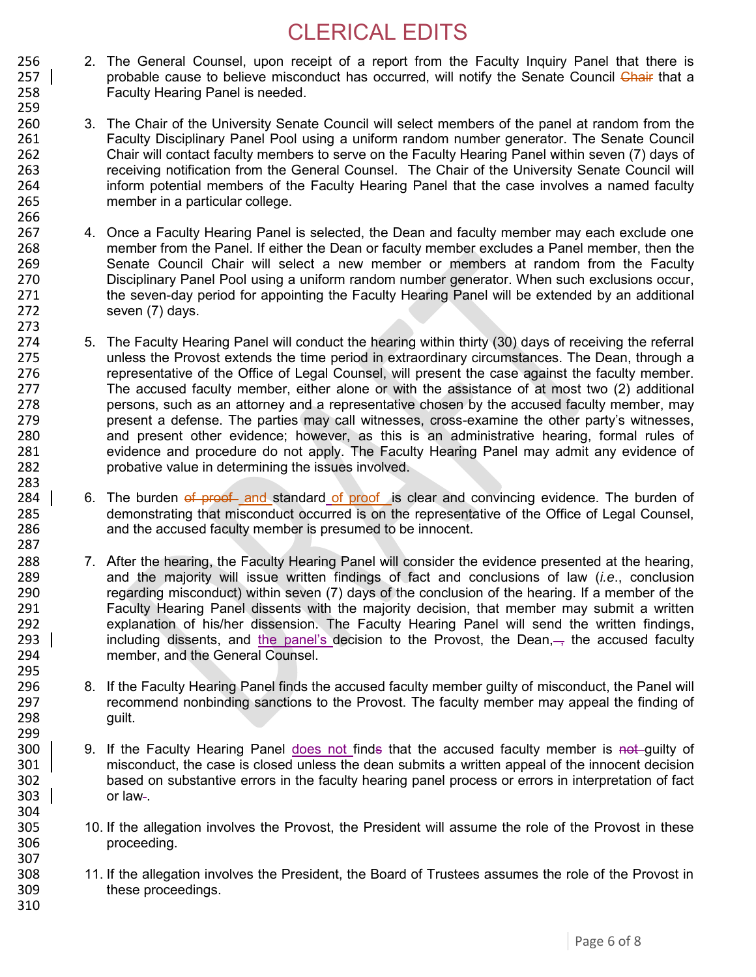- 256 2. The General Counsel, upon receipt of a report from the Faculty Inquiry Panel that there is<br>257 | probable cause to believe misconduct has occurred, will notify the Senate Council Chair that a probable cause to believe misconduct has occurred, will notify the Senate Council Chair that a 258 Faculty Hearing Panel is needed.
- 260 3. The Chair of the University Senate Council will select members of the panel at random from the 261 Faculty Disciplinary Panel Pool using a uniform random number generator. The Senate Council 262 Chair will contact faculty members to serve on the Faculty Hearing Panel within seven (7) days of 263 contract receiving notification from the General Counsel. The Chair of the University Senate Council will 263 receiving notification from the General Counsel. The Chair of the University Senate Council will 264 inform potential members of the Faculty Hearing Panel that the case involves a named faculty<br>265 member in a particular college. member in a particular college.
- 267 4. Once a Faculty Hearing Panel is selected, the Dean and faculty member may each exclude one 268 member from the Panel. If either the Dean or faculty member excludes a Panel member, then the 269 member or members at random from the Faculty 269 Senate Council Chair will select a new member or members at random from the Faculty<br>270 Sensionary Panel Pool using a uniform random number generator. When such exclusions occur, 270 Disciplinary Panel Pool using a uniform random number generator. When such exclusions occur,<br>271 the seven-day period for appointing the Faculty Hearing Panel will be extended by an additional the seven-day period for appointing the Faculty Hearing Panel will be extended by an additional 272 seven (7) days.
- 274 5. The Faculty Hearing Panel will conduct the hearing within thirty (30) days of receiving the referral 275 unless the Provost extends the time period in extraordinary circumstances. The Dean, through a 276 representative of the Office of Legal Counsel, will present the case against the faculty member. 277 The accused faculty member, either alone or with the assistance of at most two (2) additional 278 persons, such as an attorney and a representative chosen by the accused faculty member, may<br>279 present a defense. The parties may call witnesses, cross-examine the other party's witnesses. 279 present a defense. The parties may call witnesses, cross-examine the other party's witnesses,<br>280 and present other evidence: however, as this is an administrative hearing, formal rules of 280 and present other evidence; however, as this is an administrative hearing, formal rules of 281 281 evidence and procedure do not apply. The Faculty Hearing Panel may admit any evidence of 282 probative value in determining the issues involved. 283
- 284 6. The burden of proof and standard of proof is clear and convincing evidence. The burden of 285 demonstrating that misconduct occurred is on the representative of the Office of Legal Counsel,<br>286 and the accused faculty member is presumed to be innocent. and the accused faculty member is presumed to be innocent. 287
- 288 7. After the hearing, the Faculty Hearing Panel will consider the evidence presented at the hearing,<br>289 **1998 1999 1289** and the maiority will issue written findings of fact and conclusions of law *(i.e., conclusion* 289 and the majority will issue written findings of fact and conclusions of law (*i.e*., conclusion 290 regarding misconduct) within seven (7) days of the conclusion of the hearing. If a member of the<br>291 **Faculty Hearing Panel dissents with the maiority decision**, that member may submit a written 291 Faculty Hearing Panel dissents with the majority decision, that member may submit a written<br>292 explanation of his/her dissension. The Faculty Hearing Panel will send the written findings. explanation of his/her dissension. The Faculty Hearing Panel will send the written findings, 293 including dissents, and the panel's decision to the Provost, the Dean, the accused faculty 294 member, and the General Counsel. 295<br>296
- 296 8. If the Faculty Hearing Panel finds the accused faculty member guilty of misconduct, the Panel will<br>297 cecommend nonbinding sanctions to the Provost. The faculty member may appeal the finding of 297 recommend nonbinding sanctions to the Provost. The faculty member may appeal the finding of 298 guilt.
- 299<br>300 9. If the Faculty Hearing Panel does not finds that the accused faculty member is not quilty of 301 misconduct, the case is closed unless the dean submits a written appeal of the innocent decision 302 based on substantive errors in the faculty hearing panel process or errors in interpretation of fact  $303$  or law-.
- 305 10. If the allegation involves the Provost, the President will assume the role of the Provost in these<br>306 **10** proceeding. proceeding.
- 308 11. If the allegation involves the President, the Board of Trustees assumes the role of the Provost in 309 these proceedings.
- 310

304<br>305

307

259

266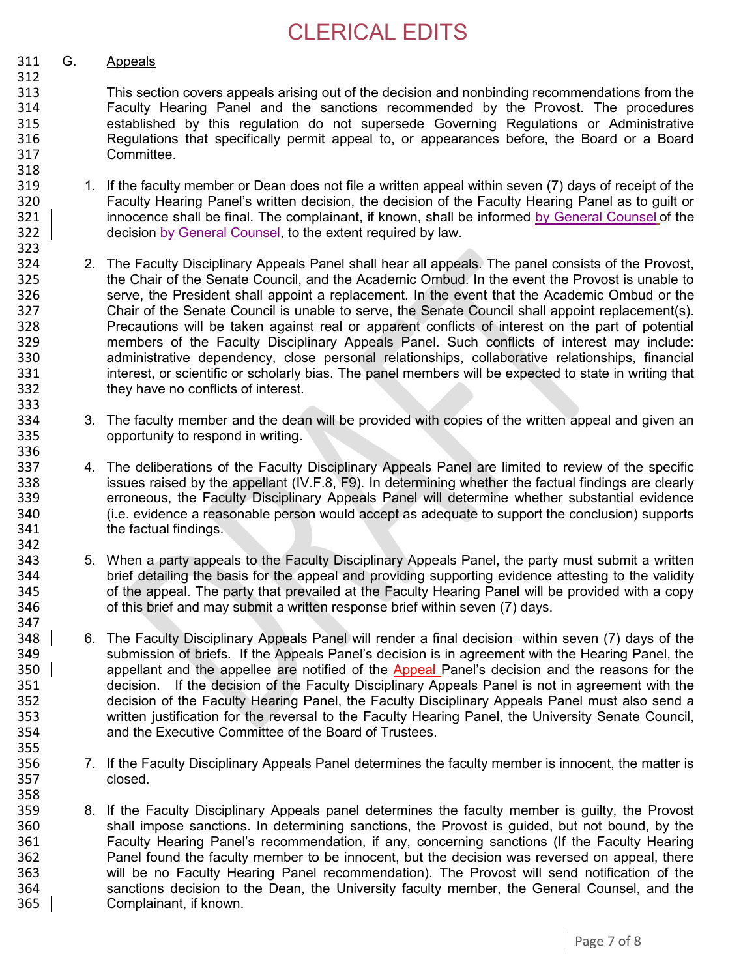#### 311 G. Appeals

312

318<br>319

323

336

342

- 313 This section covers appeals arising out of the decision and nonbinding recommendations from the 314 Faculty Hearing Panel and the sanctions recommended by the Provost. The procedures 315 established by this regulation do not supersede Governing Regulations or Administrative 316 Regulations that specifically permit appeal to, or appearances before, the Board or a Board 317 Committee.
- 1. If the faculty member or Dean does not file a written appeal within seven (7) days of receipt of the 320 Faculty Hearing Panel's written decision, the decision of the Faculty Hearing Panel as to guilt or<br>321 | innocence shall be final. The complainant, if known, shall be informed by General Counsel of the innocence shall be final. The complainant, if known, shall be informed by General Counsel of the 322 **decision-by General Counsel**, to the extent required by law.
- 324 2. The Faculty Disciplinary Appeals Panel shall hear all appeals. The panel consists of the Provost,<br>325 the Chair of the Senate Council, and the Academic Ombud. In the event the Provost is unable to 325 the Chair of the Senate Council, and the Academic Ombud. In the event the Provost is unable to<br>326 serve, the President shall appoint a replacement. In the event that the Academic Ombud or the serve, the President shall appoint a replacement. In the event that the Academic Ombud or the 327 Chair of the Senate Council is unable to serve, the Senate Council shall appoint replacement(s).<br>328 Precautions will be taken against real or apparent conflicts of interest on the part of potential Precautions will be taken against real or apparent conflicts of interest on the part of potential 329 members of the Faculty Disciplinary Appeals Panel. Such conflicts of interest may include: 330 administrative dependency, close personal relationships, collaborative relationships, financial 331 interest, or scientific or scholarly bias. The panel members will be expected to state in writing that 332 they have no conflicts of interest. 333<br>334
- 334 3. The faculty member and the dean will be provided with copies of the written appeal and given an 335 opportunity to respond in writing.
- 337 4. The deliberations of the Faculty Disciplinary Appeals Panel are limited to review of the specific 338 issues raised by the appellant (IV.F.8, F9). In determining whether the factual findings are clearly 339 erroneous, the Faculty Disciplinary Appeals Panel will determine whether substantial evidence<br>340 (i.e. evidence a reasonable person would accept as adequate to support the conclusion) supports 340 (i.e. evidence a reasonable person would accept as adequate to support the conclusion) supports 341 the factual findings.
- 343 5. When a party appeals to the Faculty Disciplinary Appeals Panel, the party must submit a written 344 brief detailing the basis for the appeal and providing supporting evidence attesting to the validity 345 of the appeal. The party that prevailed at the Faculty Hearing Panel will be provided with a copy 346 of this brief and may submit a written response brief within seven (7) days. 347
- 348 6. The Faculty Disciplinary Appeals Panel will render a final decision- within seven (7) days of the 349 submission of briefs. If the Appeals Panel's decision is in agreement with the Hearing Panel, the 350 appellant and the appellee are notified of the Appeal Panel's decision and the reasons for the 351 decision. If the decision of the Faculty Disciplinary Appeals Panel is not in agreement with the decision. If the decision of the Faculty Disciplinary Appeals Panel is not in agreement with the 352 decision of the Faculty Hearing Panel, the Faculty Disciplinary Appeals Panel must also send a 353 written justification for the reversal to the Faculty Hearing Panel, the University Senate Council, 354 and the Executive Committee of the Board of Trustees. 355
- 356 7. If the Faculty Disciplinary Appeals Panel determines the faculty member is innocent, the matter is 357 closed.
- 359 8. If the Faculty Disciplinary Appeals panel determines the faculty member is guilty, the Provost 360 shall impose sanctions. In determining sanctions, the Provost is guided, but not bound, by the 361 Faculty Hearing Panel's recommendation, if any, concerning sanctions (If the Faculty Hearing 362 Panel found the faculty member to be innocent, but the decision was reversed on appeal, there 363 will be no Faculty Hearing Panel recommendation). The Provost will send notification of the<br>364 sanctions decision to the Dean, the University faculty member, the General Counsel, and the 364 sanctions decision to the Dean, the University faculty member, the General Counsel, and the 365 l Complainant, if known.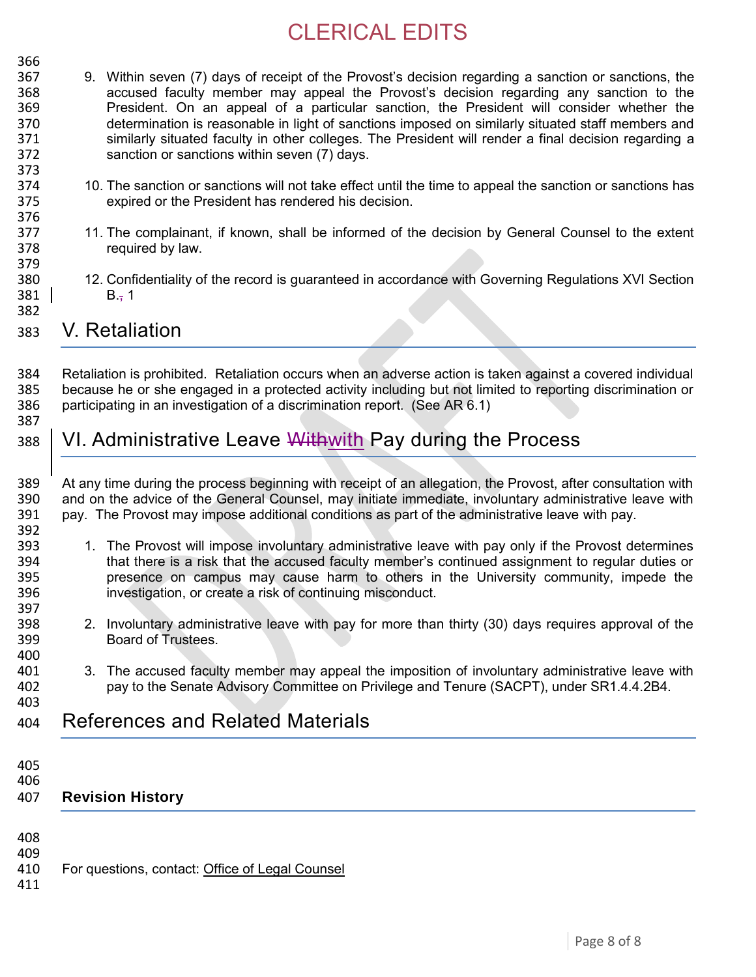- 366<br>367 9. Within seven (7) days of receipt of the Provost's decision regarding a sanction or sanctions, the 368 accused faculty member may appeal the Provost's decision regarding any sanction to the 369 President. On an appeal of a particular sanction, the President will consider whether the 370 determination is reasonable in light of sanctions imposed on similarly situated staff members and 371 similarly situated faculty in other colleges. The President will render a final decision regarding a 372 sanction or sanctions within seven (7) days. 373<br>374
- 374 10. The sanction or sanctions will not take effect until the time to appeal the sanction or sanctions has<br>375 expired or the President has rendered his decision. expired or the President has rendered his decision.
- 377 11. The complainant, if known, shall be informed of the decision by General Counsel to the extent 378 required by law.
- 379<br>380 12. Confidentiality of the record is guaranteed in accordance with Governing Regulations XVI Section  $381$  B., 1
- 382

376

383 V. Retaliation

384 Retaliation is prohibited. Retaliation occurs when an adverse action is taken against a covered individual<br>385 Decause he or she engaged in a protected activity including but not limited to reporting discrimination or because he or she engaged in a protected activity including but not limited to reporting discrimination or 386 participating in an investigation of a discrimination report. (See AR 6.1) 387

- 388 VI. Administrative Leave Withwith Pay during the Process
- 389 At any time during the process beginning with receipt of an allegation, the Provost, after consultation with 390 and on the advice of the General Counsel, may initiate immediate, involuntary administrative leave with 391 pay. The Provost may impose additional conditions as part of the administrative leave with pay. 392<br>393
- 1. The Provost will impose involuntary administrative leave with pay only if the Provost determines 394 that there is a risk that the accused faculty member's continued assignment to regular duties or<br>395 **being the continuity** on campus may cause harm to others in the University community, impede the presence on campus may cause harm to others in the University community, impede the 396 investigation, or create a risk of continuing misconduct.
- 398 2. Involuntary administrative leave with pay for more than thirty (30) days requires approval of the 399 Board of Trustees.
- 401 3. The accused faculty member may appeal the imposition of involuntary administrative leave with 402 pay to the Senate Advisory Committee on Privilege and Tenure (SACPT), under SR1.4.4.2B4. pay to the Senate Advisory Committee on Privilege and Tenure (SACPT), under SR1.4.4.2B4.
- 404 References and Related Materials
- 405

397<br>398

400<br>401

403

406

### 407 **Revision History**

- 408
- 

409<br>410 For questions, contact: [Office of Legal Counsel](mailto:LegalRegs@uky.edu)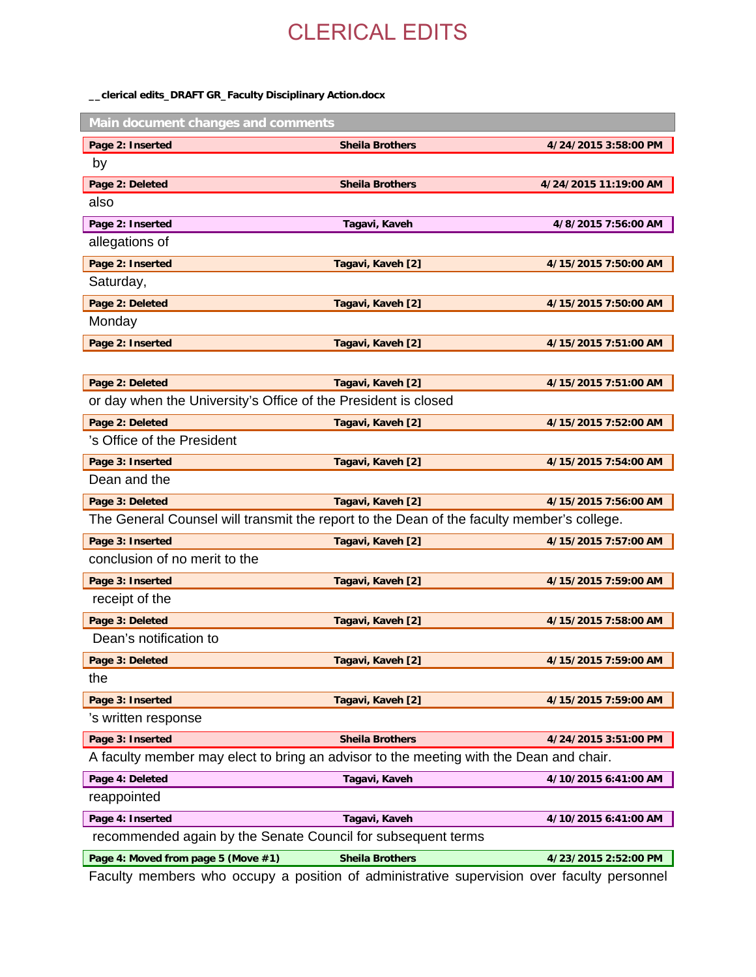#### **\_\_clerical edits\_DRAFT GR\_Faculty Disciplinary Action.docx**

| Main document changes and comments                                                        |                        |                       |  |  |
|-------------------------------------------------------------------------------------------|------------------------|-----------------------|--|--|
| Page 2: Inserted                                                                          | <b>Sheila Brothers</b> | 4/24/2015 3:58:00 PM  |  |  |
| by                                                                                        |                        |                       |  |  |
| Page 2: Deleted                                                                           | <b>Sheila Brothers</b> | 4/24/2015 11:19:00 AM |  |  |
| also                                                                                      |                        |                       |  |  |
| Page 2: Inserted                                                                          | Tagavi, Kaveh          | 4/8/2015 7:56:00 AM   |  |  |
| allegations of                                                                            |                        |                       |  |  |
| Page 2: Inserted                                                                          | Tagavi, Kaveh [2]      | 4/15/2015 7:50:00 AM  |  |  |
| Saturday,                                                                                 |                        |                       |  |  |
| Page 2: Deleted                                                                           | Tagavi, Kaveh [2]      | 4/15/2015 7:50:00 AM  |  |  |
| Monday                                                                                    |                        |                       |  |  |
| Page 2: Inserted                                                                          | Tagavi, Kaveh [2]      | 4/15/2015 7:51:00 AM  |  |  |
|                                                                                           |                        |                       |  |  |
| Page 2: Deleted                                                                           | Tagavi, Kaveh [2]      | 4/15/2015 7:51:00 AM  |  |  |
| or day when the University's Office of the President is closed                            |                        |                       |  |  |
| Page 2: Deleted                                                                           | Tagavi, Kaveh [2]      | 4/15/2015 7:52:00 AM  |  |  |
| 's Office of the President                                                                |                        |                       |  |  |
| Page 3: Inserted                                                                          | Tagavi, Kaveh [2]      | 4/15/2015 7:54:00 AM  |  |  |
| Dean and the                                                                              |                        |                       |  |  |
| Page 3: Deleted                                                                           | Tagavi, Kaveh [2]      | 4/15/2015 7:56:00 AM  |  |  |
| The General Counsel will transmit the report to the Dean of the faculty member's college. |                        |                       |  |  |
| Page 3: Inserted                                                                          | Tagavi, Kaveh [2]      | 4/15/2015 7:57:00 AM  |  |  |
| conclusion of no merit to the                                                             |                        |                       |  |  |
| Page 3: Inserted                                                                          | Tagavi, Kaveh [2]      | 4/15/2015 7:59:00 AM  |  |  |
| receipt of the                                                                            |                        |                       |  |  |
| Page 3: Deleted                                                                           | Tagavi, Kaveh [2]      | 4/15/2015 7:58:00 AM  |  |  |
| Dean's notification to                                                                    |                        |                       |  |  |
| Page 3: Deleted                                                                           | Tagavi, Kaveh [2]      | 4/15/2015 7:59:00 AM  |  |  |
| the                                                                                       |                        |                       |  |  |
| Page 3: Inserted                                                                          | Tagavi, Kaveh [2]      | 4/15/2015 7:59:00 AM  |  |  |
| 's written response                                                                       |                        |                       |  |  |
| Page 3: Inserted                                                                          | <b>Sheila Brothers</b> | 4/24/2015 3:51:00 PM  |  |  |
| A faculty member may elect to bring an advisor to the meeting with the Dean and chair.    |                        |                       |  |  |
| Page 4: Deleted                                                                           | Tagavi, Kaveh          | 4/10/2015 6:41:00 AM  |  |  |
| reappointed                                                                               |                        |                       |  |  |
| Page 4: Inserted                                                                          | Tagavi, Kaveh          | 4/10/2015 6:41:00 AM  |  |  |
| recommended again by the Senate Council for subsequent terms                              |                        |                       |  |  |
| Page 4: Moved from page 5 (Move #1)                                                       | <b>Sheila Brothers</b> | 4/23/2015 2:52:00 PM  |  |  |

Faculty members who occupy a position of administrative supervision over faculty personnel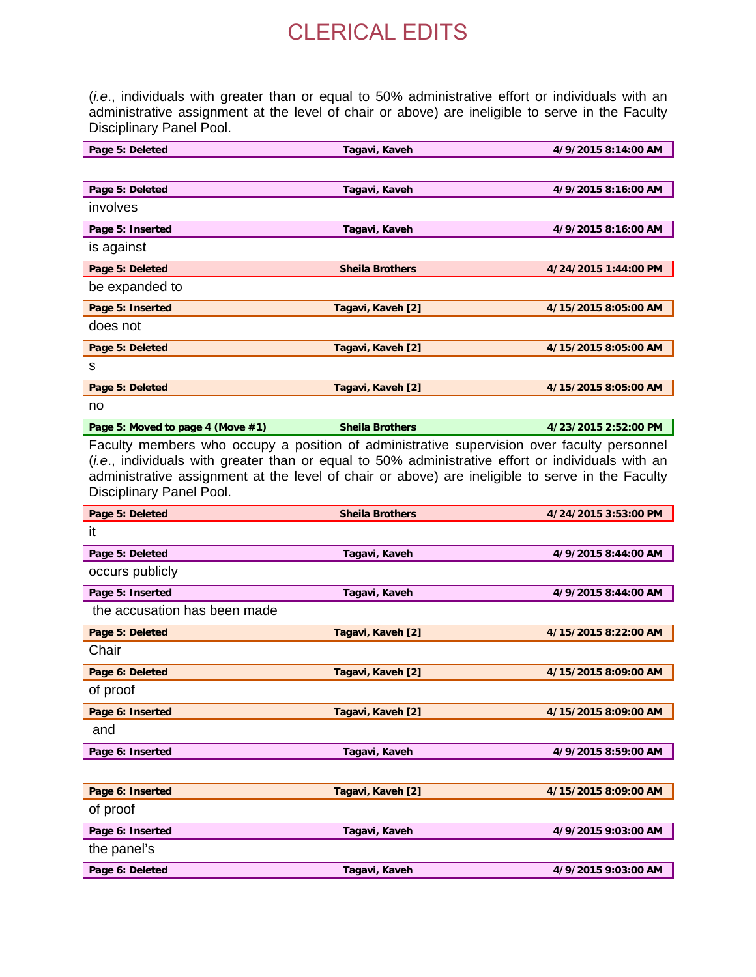(*i.e*., individuals with greater than or equal to 50% administrative effort or individuals with an administrative assignment at the level of chair or above) are ineligible to serve in the Faculty Disciplinary Panel Pool.

| Page 5: Deleted                   | Tagavi, Kaveh                                                                                                                                                                                                                                                                                       | 4/9/2015 8:14:00 AM  |
|-----------------------------------|-----------------------------------------------------------------------------------------------------------------------------------------------------------------------------------------------------------------------------------------------------------------------------------------------------|----------------------|
|                                   |                                                                                                                                                                                                                                                                                                     |                      |
| Page 5: Deleted                   | Tagavi, Kaveh                                                                                                                                                                                                                                                                                       | 4/9/2015 8:16:00 AM  |
| involves                          |                                                                                                                                                                                                                                                                                                     |                      |
| Page 5: Inserted                  | Tagavi, Kaveh                                                                                                                                                                                                                                                                                       | 4/9/2015 8:16:00 AM  |
| is against                        |                                                                                                                                                                                                                                                                                                     |                      |
| Page 5: Deleted                   | <b>Sheila Brothers</b>                                                                                                                                                                                                                                                                              | 4/24/2015 1:44:00 PM |
| be expanded to                    |                                                                                                                                                                                                                                                                                                     |                      |
| Page 5: Inserted                  | Tagavi, Kaveh [2]                                                                                                                                                                                                                                                                                   | 4/15/2015 8:05:00 AM |
| does not                          |                                                                                                                                                                                                                                                                                                     |                      |
| Page 5: Deleted                   | Tagavi, Kaveh [2]                                                                                                                                                                                                                                                                                   | 4/15/2015 8:05:00 AM |
| s                                 |                                                                                                                                                                                                                                                                                                     |                      |
| Page 5: Deleted                   | Tagavi, Kaveh [2]                                                                                                                                                                                                                                                                                   | 4/15/2015 8:05:00 AM |
| no                                |                                                                                                                                                                                                                                                                                                     |                      |
| Page 5: Moved to page 4 (Move #1) | <b>Sheila Brothers</b>                                                                                                                                                                                                                                                                              | 4/23/2015 2:52:00 PM |
| Disciplinary Panel Pool.          | Faculty members who occupy a position of administrative supervision over faculty personnel<br>(i.e., individuals with greater than or equal to 50% administrative effort or individuals with an<br>administrative assignment at the level of chair or above) are ineligible to serve in the Faculty |                      |
| Page 5: Deleted                   | <b>Sheila Brothers</b>                                                                                                                                                                                                                                                                              | 4/24/2015 3:53:00 PM |
|                                   |                                                                                                                                                                                                                                                                                                     |                      |
| it                                |                                                                                                                                                                                                                                                                                                     |                      |
| Page 5: Deleted                   | Tagavi, Kaveh                                                                                                                                                                                                                                                                                       | 4/9/2015 8:44:00 AM  |
| occurs publicly                   |                                                                                                                                                                                                                                                                                                     |                      |
| Page 5: Inserted                  | Tagavi, Kaveh                                                                                                                                                                                                                                                                                       | 4/9/2015 8:44:00 AM  |
| the accusation has been made      |                                                                                                                                                                                                                                                                                                     |                      |
| Page 5: Deleted                   | Tagavi, Kaveh [2]                                                                                                                                                                                                                                                                                   | 4/15/2015 8:22:00 AM |
| Chair                             |                                                                                                                                                                                                                                                                                                     |                      |
| Page 6: Deleted                   | Tagavi, Kaveh [2]                                                                                                                                                                                                                                                                                   | 4/15/2015 8:09:00 AM |
| of proof                          |                                                                                                                                                                                                                                                                                                     |                      |
| Page 6: Inserted                  | Tagavi, Kaveh [2]                                                                                                                                                                                                                                                                                   | 4/15/2015 8:09:00 AM |
| and                               |                                                                                                                                                                                                                                                                                                     |                      |
| Page 6: Inserted                  | Tagavi, Kaveh                                                                                                                                                                                                                                                                                       | 4/9/2015 8:59:00 AM  |
|                                   |                                                                                                                                                                                                                                                                                                     |                      |
| Page 6: Inserted                  | Tagavi, Kaveh [2]                                                                                                                                                                                                                                                                                   | 4/15/2015 8:09:00 AM |
| of proof                          |                                                                                                                                                                                                                                                                                                     |                      |
| Page 6: Inserted                  | Tagavi, Kaveh                                                                                                                                                                                                                                                                                       | 4/9/2015 9:03:00 AM  |
| the panel's                       |                                                                                                                                                                                                                                                                                                     |                      |